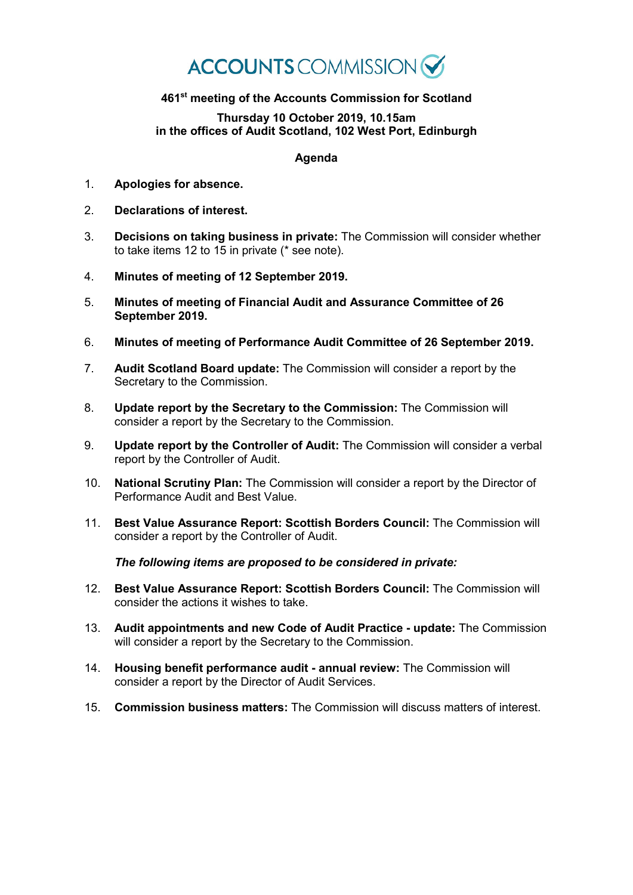## **ACCOUNTS** COMMISSION

## **461st meeting of the Accounts Commission for Scotland**

## **Thursday 10 October 2019, 10.15am in the offices of Audit Scotland, 102 West Port, Edinburgh**

## **Agenda**

- 1. **Apologies for absence.**
- 2. **Declarations of interest.**
- 3. **Decisions on taking business in private:** The Commission will consider whether to take items 12 to  $1\overline{5}$  in private (\* see note).
- 4. **Minutes of meeting of 12 September 2019.**
- 5. **Minutes of meeting of Financial Audit and Assurance Committee of 26 September 2019.**
- 6. **Minutes of meeting of Performance Audit Committee of 26 September 2019.**
- 7. **Audit Scotland Board update:** The Commission will consider a report by the Secretary to the Commission.
- 8. **Update report by the Secretary to the Commission:** The Commission will consider a report by the Secretary to the Commission.
- 9. **Update report by the Controller of Audit:** The Commission will consider a verbal report by the Controller of Audit.
- 10. **National Scrutiny Plan:** The Commission will consider a report by the Director of Performance Audit and Best Value.
- 11. **Best Value Assurance Report: Scottish Borders Council:** The Commission will consider a report by the Controller of Audit.

*The following items are proposed to be considered in private:*

- 12. **Best Value Assurance Report: Scottish Borders Council:** The Commission will consider the actions it wishes to take.
- 13. **Audit appointments and new Code of Audit Practice - update:** The Commission will consider a report by the Secretary to the Commission.
- 14. **Housing benefit performance audit - annual review:** The Commission will consider a report by the Director of Audit Services.
- 15. **Commission business matters:** The Commission will discuss matters of interest.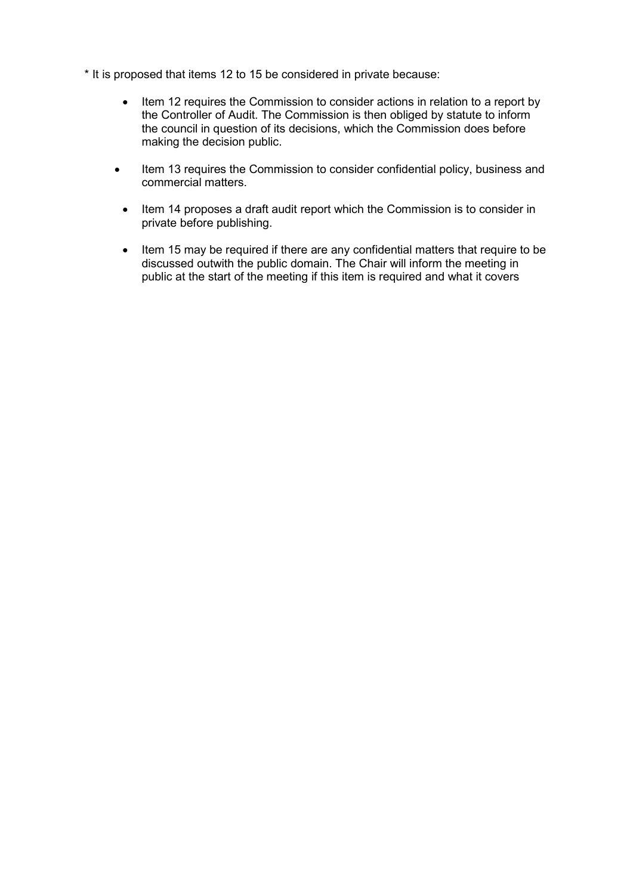\* It is proposed that items 12 to 15 be considered in private because:

- Item 12 requires the Commission to consider actions in relation to a report by the Controller of Audit. The Commission is then obliged by statute to inform the council in question of its decisions, which the Commission does before making the decision public.
- Item 13 requires the Commission to consider confidential policy, business and commercial matters.
	- Item 14 proposes a draft audit report which the Commission is to consider in private before publishing.
	- Item 15 may be required if there are any confidential matters that require to be discussed outwith the public domain. The Chair will inform the meeting in public at the start of the meeting if this item is required and what it covers